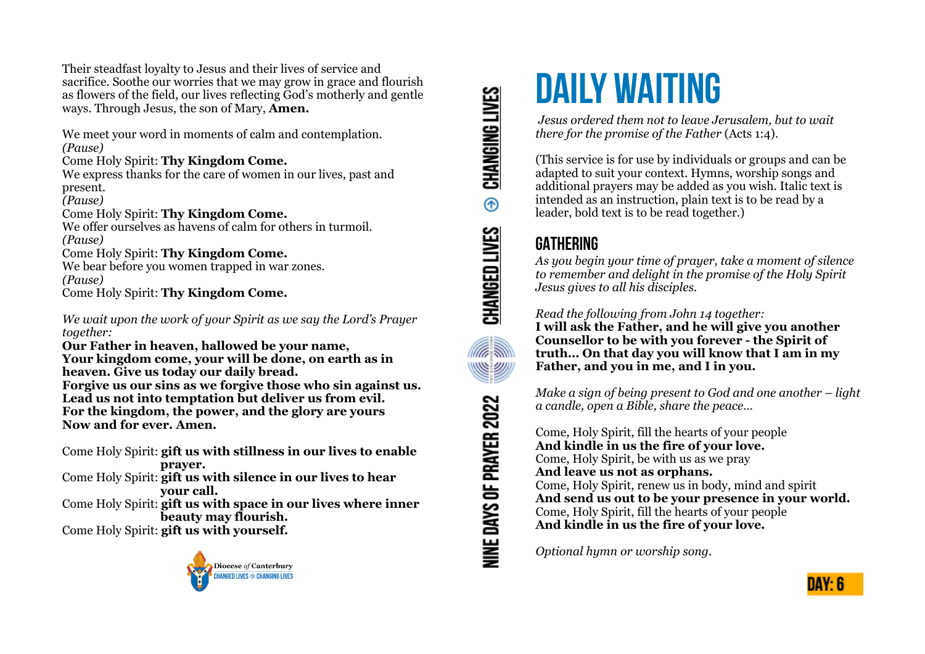Their steadfast loyalty to Jesus and their lives of service and sacrifice. Soothe our worries that we may grow in grace and flourish as flowers of the field, our lives reflecting God's motherly and gentle ways. Through Jesus, the son of Mary, **Amen.**

We meet your word in moments of calm and contemplation. *(Pause)*

Come Holy Spirit: **Thy Kingdom Come.**

We express thanks for the care of women in our lives, past and present.

*(Pause)*

Come Holy Spirit: **Thy Kingdom Come.**

We offer ourselves as havens of calm for others in turmoil. *(Pause)*

#### Come Holy Spirit: **Thy Kingdom Come.**

We bear before you women trapped in war zones. *(Pause)* Come Holy Spirit: **Thy Kingdom Come.**

*We wait upon the work of your Spirit as we say the Lord's Prayer together:*

**Our Father in heaven, hallowed be your name, Your kingdom come, your will be done, on earth as in heaven. Give us today our daily bread. Forgive us our sins as we forgive those who sin against us. Lead us not into temptation but deliver us from evil. For the kingdom, the power, and the glory are yours** 

**Now and for ever. Amen.**

Come Holy Spirit: **gift us with stillness in our lives to enable prayer.**

Come Holy Spirit: **gift us with silence in our lives to hear your call.**

Come Holy Spirit: **gift us with space in our lives where inner beauty may flourish.**

Come Holy Spirit: **gift us with yourself.**



CHANGING LIVES  $^{\circ}$ CHANGED LIVES **ARE WE 29911** NINE DAYS OF PRAYER 2022

# **DAILY WAITING**

 *Jesus ordered them not to leave Jerusalem, but to wait there for the promise of the Father* (Acts 1:4).

(This service is for use by individuals or groups and can be adapted to suit your context. Hymns, worship songs and additional prayers may be added as you wish. Italic text is intended as an instruction, plain text is to be read by a leader, bold text is to be read together.)

## **GATHERING**

*As you begin your time of prayer, take a moment of silence to remember and delight in the promise of the Holy Spirit Jesus gives to all his disciples.*

*Read the following from John 14 together:* 

**I will ask the Father, and he will give you another Counsellor to be with you forever - the Spirit of truth… On that day you will know that I am in my Father, and you in me, and I in you.** 

*Make a sign of being present to God and one another – light a candle, open a Bible, share the peace…* 

Come, Holy Spirit, fill the hearts of your people **And kindle in us the fire of your love.**  Come, Holy Spirit, be with us as we pray **And leave us not as orphans.**  Come, Holy Spirit, renew us in body, mind and spirit **And send us out to be your presence in your world.**  Come, Holy Spirit, fill the hearts of your people **And kindle in us the fire of your love.** 

*Optional hymn or worship song.*